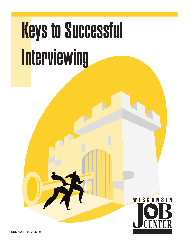# Keys to Successful Interviewing

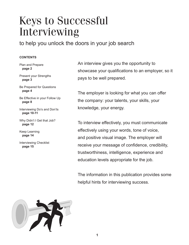## Keys to Successful Interviewing

to help you unlock the doors in your job search

#### **CONTENTS**

Plan and Prepare  **page 2**

Present your Strengths  **page 3**

Be Prepared for Questions  **page 4**

Be Effective in your Follow Up  **page 8**

Interviewing Do's and Don'ts  **page 10-11**

Why Didn't I Get that Job?  **page 12**

Keep Learning  **page 14**

Interviewing Checklist  **page 15**

An interview gives you the opportunity to showcase your qualifications to an employer, so it pays to be well prepared.

The employer is looking for what you can offer the company: your talents, your skills, your knowledge, your energy.

To interview effectively, you must communicate effectively using your words, tone of voice, and positive visual image. The employer will receive your message of confidence, credibility, trustworthiness, intelligence, experience and education levels appropriate for the job.

The information in this publication provides some helpful hints for interviewing success.

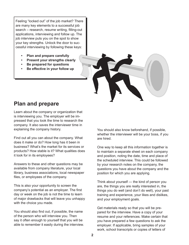Feeling "locked out" of the job market? There are many key elements to a successful job search – research, resume writing, filling-out applications, interviewing and follow up. The job interview puts you on the spot to show your key strengths. Unlock the door to successful interviewing by following these keys:

- **• Plan and prepare carefully**
- **Present your strengths clearly**
- **• Be prepared for questions**
- **• Be effective in your follow up**



### **Plan and prepare**

Learn about the company or organization that is interviewing you. The employer will be impressed that you took the time to research the company. It also saves the interviewer time in explaining the company history.

Find out all you can about the company. What does it make or do? How long has it been in business? What's the market for its services or products? How stable is it? What qualities does it look for in its employees?

Answers to these and other questions may be available from company literature, your local library, business associations, local newspaper files, or employees of the company.

This is also your opportunity to screen the company's potential as an employer. The first day or week on the job is not the time to learn of major drawbacks that will leave you unhappy with the choice you made.

You should also find out, if possible, the name of the person who will interview you. Then say it often enough to yourself that you will be able to remember it easily during the interview. You should also know beforehand, if possible, whether the interviewer will be your boss, if you are hired.

One way to keep all this information together is to maintain a separate sheet on each company and position, noting the date, time and place of the scheduled interview. This could be followed by your research notes on the company, the questions you have about the company and the position for which you are applying.

Think about yourself — the kind of person you are, the things you are really interested in, the things you do well (and don't do well), your past training and experience, your likes and dislikes, and your employment goals.

Get materials ready so that you will be prepared for the interview. Have a copy of your resume and your references. Make certain that you have prepared a few questions to ask the employer. If applicable, bring samples of your work, school transcripts or copies of letters of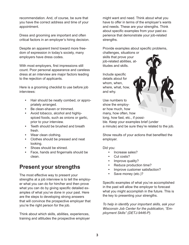recommendation. And, of course, be sure that you have the correct address and time of your appointment.

Dress and grooming are important and often critical factors in an employer's hiring decision.

Despite an apparent trend toward more freedom of expression in today's society, many employers have dress codes.

With most employers, first impressions still count. Poor personal appearance and careless dress at an interview are major factors leading to the rejection of applicants.

Here is a grooming checklist to use before job interviews:

- **•**  Hair should be neatly combed, or appropriately arranged.
- Be clean-shaven or trimmed.
- Avoid tobacco, alcohol and highlyspiced foods, such as onions or garlic, prior to your interview.
- **•**  Teeth should be brushed and breath fresh.
- **•**  Wear clean clothing.
- **Clothes should be pressed and neat** looking.
- Shoes should be shined.
- Face, hands and fingernails should be clean.

## **Present your strengths**

The most effective way to present your strengths at a job interview is to tell the employer what you can do for him/her and then prove what you can do by giving specific detailed examples of what you've done in your past. Here are the steps to developing strong answers that will convince the prospective employer that you're the right person for the job.

Think about which skills, abilities, experiences, training and attitudes the prospective employer

might want and need. Think about what you have to offer in terms of the employer's wants and needs. These are your strengths. Think about specific examples from your past experience that demonstrate your job-related strengths.

Provide examples about specific problems,

challenges, situations or skills that prove your job-related abilities, attitudes and skills.

Include specific details about for whom, when, where, what, how, and why.

Use numbers to show the employer how much, how many, how often, how long, how fast, etc., if possible. Keep your examples brief (under a minute) and be sure they're related to the job.

Show results of your actions that benefited the employer.

Did you:

- **•**  Increase sales?
- Cut costs?
- **Improve quality?**
- **Reduce production time?**
- **Improve customer satisfaction?**
- Save money (etc.)?

Specific examples of what you've accomplished in the past will allow the employer to forecast what you might accomplish in the future. This is the key to presenting your strengths.

*To help in identify your important skills, ask your Wisconsin Job Center for the publication, "Employment Skills" (DETJ-9446-P).*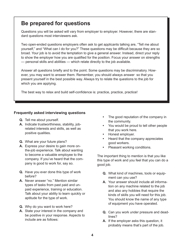## **Be prepared for questions**

Questions you will be asked will vary from employer to employer. However, there are standard questions most interviewers ask.

Two open-ended questions employers often ask to get applicants talking are, "Tell me about yourself," and "What can I do for you?" These questions may be difficult because they are so broad. Your job is to avoid the temptation to give a general answer. Instead, direct your reply to show the employer how you are qualified for the position. Focus your answer on strengths — personal skills and abilities — which relate directly to the job available.

Answer all questions briefly and to the point. Some questions may be discriminatory. However, you may want to answer them. Remember, you should always answer so that you present yourself in the best possible way. Always try to relate the questions to the job for which you are applying.

The best way to relax and build self-confidence is: practice, practice, practice!

#### **Frequently asked interviewing questions**

- **Q.** Tell me about yourself.
- A. Indicate trustworthiness, stability, jobrelated interests and skills, as well as positive qualities.
- **Q.** What are your future plans?
- A. Express your desire to gain more onthe-job experience. Talk about wanting to become a valuable employee to the company. If you've heard that the company is good to work for, say so.
- **Q.** Have you ever done this type of work before?
- **A.** Never answer "no." Mention similar types of tasks from past paid and unpaid experience, training or education. Talk about your ability to learn quickly or aptitude for the type of work.
- **Q.** Why do you want to work here?
- **A.** State your interest in the company and be positive in your response. Aspects to include are as follows:
- **•**  The good reputation of the company in the community.
- **•**  You would be proud to tell other people that you work here.
- **•**  Honest employer.
- **Heard that the company appreciates** good workers.
- **Pleasant working conditions.**

The important thing to mention is that you like this type of work and you feel that you can do a good job.

- **Q.**  What kind of machines, tools or equipment can you use?
- **A.**  Your answer should include all information on any machine related to the job and also any hobbies that require the kinds of skills you will need for this job. You should know the name of any type of equipment you have operated.
- **Q.** Can you work under pressure and deadlines?
- **A.** If the employer asks this question, it probably means that's part of the job.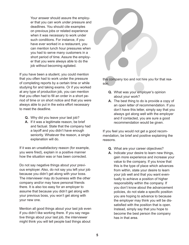Your answer should assure the employer that you can work under pressure and deadlines. You should cite examples on previous jobs or related experience when it was necessary to work under such conditions. For instance, if you have ever worked in a restaurant, you can mention lunch hour pressures when you had to serve many customers in a short period of time. Assure the employer that you were always able to do the job without becoming agitated.

If you have been a student, you could mention that you often had to work under the pressure of completing reports by a certain time or while studying for and taking exams. Or if you worked at any type of production job, you can mention that you often had to fill an order in a short period of time or on short notice and that you were always able to put in the extra effort necessary to meet the deadline.

- **Q.** Why did you leave your last job?
- A. If it was a legitimate reason, be brief and factual. State that the company had a layoff and you didn't have enough seniority. Whatever the reason, a single explanation will do.

If it was an unsatisfactory reason (for example, you were fired), explain in a positive manner how the situation was or has been corrected.

Do not say negative things about your previous employer. Also, do not say you left your job because you didn't get along with your boss. The interviewer may do business with the other company and/or may have personal friends there. It is also too easy for an employer to assume that because you didn't get along with your previous boss, you won't get along with your new one.

Mention all good things about your last job even if you didn't like working there. If you say negative things about your last job, the interviewer might think you will tell people bad things about



this company too and not hire you for that reason.

- **Q.** What was your employer's opinion about your work?
- **A.** The best thing to do is provide a copy of an open letter of recommendation. If you don't have this letter, simply say that you always got along well with the employer and if contacted, you are sure a good recommendation would be given.

If you feel you would not get a good recommendation, be brief and positive explaining the reasons.

- **Q.** What are your career objectives?
- A. Indicate your desire to learn new things, gain more experience and increase your value to the company. If you know that this is the type of place which advances from within, state your desire to learn your job well and that you want eventually to achieve a position of higher responsibility within the company. If you don't know about the advancement policies, do not state a specific position you are hoping to advance to because the employer may think you will be dissatisfied with the position that is open. Instead, simply say that you hope to become the best person the company has in that area.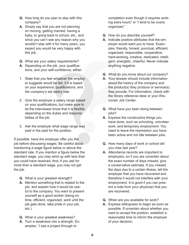- **Q.** How long do you plan to stay with this company?
- **A.**  Simply say that you are not planning on moving, getting married, having a baby, or going back to school, etc., and since you can't see any reason why you wouldn't stay with it for many years, you expect you would be very happy with this job.
- **Q.** What are your salary requirements?
- **A.** Depending on the job, your qualifications, and your self-confidence, either:
- 1. State that you feel whatever the employer suggests would be fair, if it is based on your experience, qualifications, and the company's set salary rate.
- 2. Give the employer a salary range based on your qualifications, but make sure to let the interviewer know that it is flexible, depending on the duties and responsibilities of the job.
- 3. Ask the employer what wage range was paid in the past for the position.

If possible, have the employer offer you the job before discussing wages. Be careful about mentioning a wage figure below or above the standard rate. If you mention a figure below the standard wage, you may wind up with less than you could have received. And, if you ask for more than a standard wage, you may not get the job.

- **Q.** What is your greatest strength?
- **A.** Mention something that is related to the job, and explain how it would be useful to the company. You want to present yourself as a good worker (being on time, efficient, organized, work until the job gets done, take pride in your job, etc.).
- **Q.** What is your greatest weakness?
- **A.** Turn a weakness into a strength. Examples: "I see a project through to

completion even though it requires working extra hours" or "I tend to be overly organized."

- **Q.** How do you describe yourself?
- **A.**  Indicate positive attributes that the employer would want you to have. Examples: friendly, honest, punctual, efficient, organized, responsible, cooperative, hard-working, creative, dedicated, intelligent, energetic, cheerful. Never indicate anything negative.
- **Q.** What do you know about our company?
- **A.** Your answer should include information about the history of the company and the product(s) they produce or service(s) they provide. For information, check with the library reference desk or your Wisconsin Job Center.
- **Q.** What have you been doing between jobs?
- **A.** Express the constructive things you have done, such as schooling, volunteer work, and temporary employment. You need to leave the impression you have been active and not idle between jobs.
- **Q.** How many days of work or school did you miss last year?
- **A.**  Attendance records are important to employers, so if you are uncertain about the exact number of days missed, give a conservative estimate. If you missed the days due to a certain illness, tell the employer that you have recovered and therefore it would not interfere with your employment. It is good if you can present a note from your physician that you are recovered.
- **Q.** When are you available for work?
- A. Express willingness to begin as soon as possible. If uncertain about whether you want to accept the position, establish a reasonable time to inform the employer of your decision.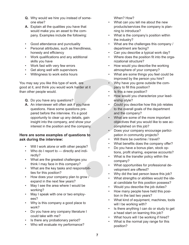- **Q.** Why would we hire you instead of someone else?
- **A.** Explain all the qualities you have that would make you an asset to the company. Examples include the following:
- Good attendance and punctuality
- Personal attributes, such as friendliness, honesty and efficiency
- Work qualifications and any additional skills you have
- Work fast with very few errors
- Get along well with supervisors
- Willingness to work extra hours

You may say you like this type of work, are good at it, and think you would work harder at it than other people would.

- **Q.** Do you have any questions?
- **A.** An interviewer will often ask if you have questions. Have some questions prepared before the interview. It's a good opportunity to clear up any details, gain insight into the company, and show your interest in the position and the company.

#### **Here are some examples of questions to ask during the interview:**

- Will I work alone or with other people?
- Who do I report to directly and indirectly?
- What are the greatest challenges you think I may face in this company?
- What are the key tasks and responsibilities for this position?
- How does your company plan to grow  $\overline{I}$ expand in the next few years?
- May I see the area where I would be working?
- May I speak with one or two employees?
- Why is this company a good place to work?
- Do you have any company literature I could take with me?
- Is there any probationary period?
- Who will evaluate my performance?

When? How?

- What can you tell me about the new products/services the company is planning to introduce?
- What is the company's position within the industry?
- What are the challenges this company / department are facing?
- Can you describe a typical work day?
- Where does the position fit into the organizational structure?
- How would you describe the working atmosphere of your company?
- What are some things you feel could be improved by the person you hire?
- Why have you gone outside the company to fill this position?
- Is this a new position?
- How would you characterize your leadership style?
- Could you describe how this job relates to the overall goals of the department and the company?
- What are some of the more important objectives that you would like to see accomplished on this job?
- Does your company encourage participation in community projects?
- Will there be overtime / travel?
- What benefits does the company offer?
- Do you have a bonus plan, stock options, profit sharing, expense accounts?
- What is the transfer policy within the company?
- What opportunities for professional development are offered?
- Why did the last person leave this job?
- What strengths or abilities would the ideal candidate for this position possess?
- Would you describe the job duties?
- How many people have held this position in the last two years?
- What kind of equipment, machines, tools will I be working with?
- Is there anything I can do or study to get a head start on learning this job?
- What hours will I be working if hired?
- What is the normal pay range for this position?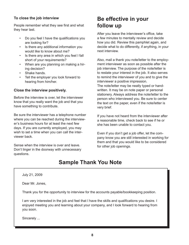#### **To close the job interview**

People remember what they see first and what they hear last.

- Do you feel I have the qualifications you are looking for?
- Is there any additional information you would like to know about me?
- Is there any area in which you feel I fall short of your requirements?
- When are you planning on making a hiring decision?
- Shake hands.
- Tell the employer you look forward to hearing from him/her.

#### **Close the interview positively.**

Before the interview is over, let the interviewer know that you really want the job and that you have something to contribute.

Be sure the interviewer has a telephone number where you can be reached during the interviewer's business hours for at least the next few days. If you are currently employed, you may wish to set a time when you can call the interviewer back.

Sense when the interview is over and leave. Don't linger in the doorway with unnecessary questions.

## **Be effective in your follow up**

After you leave the interviewer's office, take a few minutes to mentally review and decide how you did. Review this pamphlet again, and decide what to do differently, if anything, in your next interview.

Also, mail a thank you note/letter to the employment interviewer as soon as possible after the job interview. The purpose of the note/letter is to restate your interest in the job. It also serves to remind the interviewer of you and to give the interviewer a positive impression.

The note/letter may be neatly typed or handwritten. It may be on note paper or personal stationery. Always address the note/letter to the person who interviewed you. Be sure to center the text on the paper, even if the note/letter is very brief.

If you have not heard from the interviewer after a reasonable time, check back to see if he or she has been unable to contact you.

Even if you don't get a job offer, let the company know you are still interested in working for them and that you would like to be considered for other job openings.

## **Sample Thank You Note**

July 21, 2009

Dear Mr. Jones,

Thank you for the opportunity to interview for the accounts payable/bookkeeping position.

I am very interested in the job and feel that I have the skills and qualifications you desire. I enjoyed meeting you and learning about your company, and I look forward to hearing from you soon.

Sincerely ...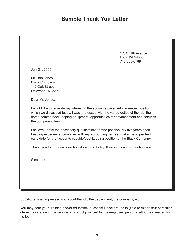## **Sample Thank You Letter**

1234 Fifth Avenue Luck, WI 54853 715/555-6789

July 21, 2009

Mr. Bob Jones Black Company 112 Oak Street Oakwood, WI 53711

Dear Mr. Jones,

I would like to reiterate my interest in the accounts payable/bookkeeper position which we discussed today. I was impressed with the varied duties of the job, the computerized bookkeeping equipment, opportunities for advancement and services the company offers.

I believe I have the necessary qualifications for the position. My five years bookkeeping experience, combined with my accounting degree, make me a qualified candidate for the accounts payable/bookkeeping position at the Black Company.

Thank you for the consideration shown me today. It was a pleasure meeting you.

Sincerely,

[Substitute what impressed you about the job, the department, the company, etc.]

[You may note your: training and/or education; successful background in (field or expertise); particular interest, avocation in the service or product provided by the employer; personal attributes needed for the job]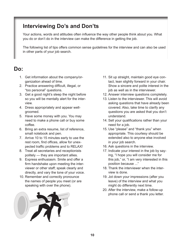## **Interviewing Do's and Don'ts**

Your actions, words and attitudes often influence the way other people think about you. What you do or don't do in the interview can make the difference in getting the job.

The following list of tips offers common sense guidelines for the interview and can also be used in other parts of your job search.

## **Do:**

- 1. Get information about the company/organization ahead of time.
- 2. Practice answering difficult, illegal, or "too personal" questions.
- 3. Get a good night's sleep the night before so you will be mentally alert for the interview.
- 4. Dress appropriately and appear wellgroomed.
- 5. Have some money with you. You may need to make a phone call or buy some coffee.
- 6. Bring an extra resume, list of reference, small notebook and pen.
- 7. Arrive 10 to 15 minutes early to use the rest room, find offices, allow for unexpected traffic problems and to RELAX!
- 8. Treat all secretaries and receptionists politely — they are important allies.
- 9. Express enthusiasm. Smile and offer a firm handshake upon meeting the interviewer or other staff; speak clearly and directly, and vary the tone of your voice.
- 10. Remember and correctly pronounce the names of people you meet (or are speaking with over the phone).



- 11. Sit up straight, maintain good eye contact, lean slightly forward in your chair. Show a sincere and polite interest in the job as well as in the interviewer.
- 12. Answer interview questions completely.
- 13. Listen to the interviewer. This will avoid asking questions that have already been covered. Also, take time to clarify any questions you are asked that you don't understand.
- 14. Sell your qualifications rather than your need for a job.
- 15. Use "please" and "thank you" when appropriate. This courtesy should be extended also to anyone else involved in your job search.
- 16. Ask questions in the interview.
- 17. Indicate your interest in the job by saying, "I hope you will consider me for this job," or, "I am very interested in this position because ..."
- 18. Thank the interviewer when the interview is done.
- 19. Jot down your impressions (after you leave) of the interview and what you might do differently next time.
- 20. After the interview, make a follow-up phone call or send a thank you letter.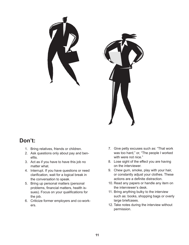



## **Don't:**

- 1. Bring relatives, friends or children.
- 2. Ask questions only about pay and benefits.
- 3. Act as if you have to have this job no matter what.
- 4. Interrupt. If you have questions or need clarification, wait for a logical break in the conversation to speak.
- 5. Bring up personal matters (personal problems, financial matters, health issues). Focus on your qualifications for the job.
- 6. Criticize former employers and co-workers.
- 7. Give petty excuses such as: "That work was too hard," or, "The people I worked with were not nice."
- 8. Lose sight of the effect you are having on the interviewer.
- 9. Chew gum, smoke, play with your hair, or constantly adjust your clothes. These actions are a definite distraction.
- 10. Read any papers or handle any item on the interviewer's desk.
- 11. Bring anything bulky to the interview such as: books, shopping bags or overly large briefcases.
- 12. Take notes during the interview without permission.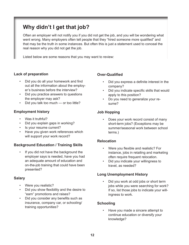## **Why didn't I get that job?**

Often an employer will not notify you if you did not get the job, and you will be wondering what went wrong. Many employers often tell people that they "hired someone more qualified" and that may be the truth in some instances. But often this is just a statement used to conceal the real reason why you did not get the job.

Listed below are some reasons that you may want to review:

#### **Lack of preparation**

- Did you do all your homework and find out all the information about the employer's business before the interview?
- Did you practice answers to questions the employer may ask?
- Did you talk too much or too little?

#### **Employment history**

- Was it truthful?
- Did you explain gaps in working?
- Is your resume current?
- Have you given work references which will support your work record?

#### **Background Education / Training Skills**

If you did not have the background the employer says is needed, have you had an adequate amount of education and on-the-job training that could have been presented?

#### **Salary**

- Were you realistic?
- Did you show flexibility and the desire to "earn" promotions and raises?
- Did you consider any benefits such as insurance, company car, or schooling/ training opportunities?

#### **Over-Qualified**

- Did you express a definite interest in the company?
- Did you indicate specific skills that would apply to this position?
- Do you need to generalize your resume?

#### **Job Hopping**

• Does your work record consist of many short-term jobs? (Exceptions may be summer/seasonal work between school terms.)

#### **Relocation**

- Were you flexible and realistic? For instance, jobs in retailing and marketing often require frequent relocation.
- Did you indicate your willingness to travel, as needed?

#### **Long Unemployment History**

• Did you work at odd jobs or short term jobs while you were searching for work? If so, list those jobs to indicate your willingness to work.

#### **Schooling**

• Have you made a sincere attempt to continue education or diversify your knowledge?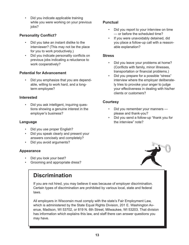• Did you indicate applicable training while you were working on your previous jobs?

#### **Personality Conflict?**

- Did you take an instant dislike to the interviewer? (This may not be the place for you to work productively.)
- Did you indicate personality conflicts on previous jobs indicating a reluctance to work cooperatively?

#### **Potential for Advancement**

• Did you emphasize that you are dependable, willing to work hard, and a longterm employee?

#### **Interested**

• Did you ask intelligent, inquiring questions showing a genuine interest in the employer's business?

#### **Language**

- Did you use proper English?
- Did you speak clearly and present your answers concisely and completely?
- Did you avoid arguments?

#### **Appearance**

- Did you look your best?
- Grooming and appropriate dress?

## **Discrimination**

If you are not hired, you may believe it was because of employer discrimination. Certain types of discrimination are prohibited by various local, state and federal laws.

All employers in Wisconsin must comply with the state's Fair Employment Law, which is administered by the State Equal Rights Division, 201 E. Washington Avenue, Madison, WI 53702, or 819 N. 6th Street, Milwaukee, WI 53203. That division has information which explains this law, and staff there can answer questions you may have.

#### **Punctual**

- Did you report to your interview on time — or before the scheduled time?
- If you were unavoidably detained, did you place a follow-up call with a reasonable explanation?

#### **Stress**

- Did you leave your problems at home? (Conflicts with family, minor illnesses, transportation or financial problems.)
- Did you prepare for a possible "stress" interview where the employer deliberately tries to provoke your anger to judge your effectiveness in dealing with his/her clients or customers?

#### **Courtesy**

- Did you remember your manners please and thank-you?
- Did you send a follow-up "thank you for the interview" note?

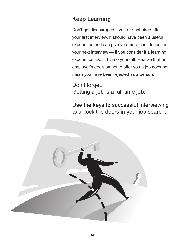## **Keep Learning**

Don't get discouraged if you are not hired after your first interview. It should have been a useful experience and can give you more confidence for your next interview — if you consider it a learning experience. Don't blame yourself. Realize that an employer's decision not to offer you a job does not mean you have been rejected as a person.

Don't forget. Getting a job is a full-time job.

Use the keys to successful interviewing to unlock the doors in your job search.

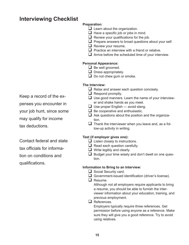## **Interviewing Checklist**

#### **Preparation**:

- $\Box$  Learn about the organization.
- $\Box$  Have a specific job or jobs in mind.
- $\Box$  Review your qualifications for the job.
- $\Box$  Prepare answers to broad questions about your self.
- $\Box$  Review your resume.
- $\Box$  Practice an interview with a friend or relative.
- $\Box$  Arrive before the scheduled time of your interview.

#### **Personal Appearance:**

- $\Box$  Be well groomed.
- $\Box$  Dress appropriately.
- $\Box$  Do not chew gum or smoke.

#### **The Interview:**

- $\Box$  Relax and answer each question concisely.
- $\Box$  Respond promptly.
- $\Box$  Use good manners. Learn the name of your interviewer and shake hands as you meet.
- $\Box$  Use proper English avoid slang.
- $\Box$  Be cooperative and enthusiastic.
- $\Box$  Ask questions about the position and the organization.
- $\Box$  Thank the interviewer when you leave and, as a follow-up activity in writing.

#### **Test (if employer gives one):**

- $\Box$  Listen closely to instructions.
- $\Box$  Read each question carefully.
- $\Box$  Write legibly and clearly.
- $\Box$  Budget your time wisely and don't dwell on one question.

#### **Information to Bring to an Interview:**

- $\Box$  Social Security card.
- Government-issued identification (driver's license).
- $\Box$  Resume.

Although not all employers require applicants to bring a resume, you should be able to furnish the interviewer information about your education, training, and previous employment.

 $\Box$  References.

Employers typically require three references. Get permission before using anyone as a reference. Make sure they will give you a good reference. Try to avoid using relatives.

Keep a record of the ex-

penses you encounter in

your job hunt, since some

may qualify for income

tax deductions.

Contact federal and state tax officials for information on conditions and qualifications.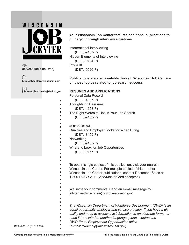

**888/258-9966** (toll free)

币 **http://jobcenterofwisconsin.com**

 $\boxtimes$ **jobcenterofwisconsin@dwd.wi.gov**

#### **Your Wisconsin Job Center features additional publications to guide you through interview situations**

Informational Interviewing (DETJ-9407-P) Hidden Elements of Interviewing (DETJ-9484-P) Prove It! (DETJ-9526-P)

**Publications are also available through Wisconsin Job Centers on these topics related to job search success**

#### **RESUMES AND APPLICATIONS**

Personal Data Record

- (DETJ-4937-P)
- Thoughts on Resumes
	- (DETJ-4658-P)
	- The Right Words to Use in Your Job Search
- (DETJ-9463-P)

#### **JOB SEARCH**

- Qualities and Employer Looks for When Hiring
	- (DETJ-8459-P)
- **Networking** 
	- (DETJ-9455-P)
- Where to Look for Job Opportunities
- (DETJ-9467-P)
- 

 $\bullet$  $\bullet$  $\bullet$ 

- To obtain single copies of this publication, visit your nearest
- Wisconsin Job Center. For multiple copies of this or other
- Wisconsin Job Center publications, contact Document Sales at
- 1-800-DOC-SALE (Visa/MasterCard accepted).
- 
- We invite your comments. Send an e-mail message to:
- jobcenterofwisconsin@dwd.wisconsin.gov
- 
- 
- *The Wisconsin Department of Workforce Development (DWD) is an*
- *equal opportunity employer and service provider. If you have a dis-*
- *ability and need to access this information in an alternate format or*
- *need it translated to another language, please contact the*
- *DWD Equal Employment Opportunities office*
- DETJ-6951-P (R. 01/2010) *(e-mail: dwdeeo@dwd.wisconsin.gov).*